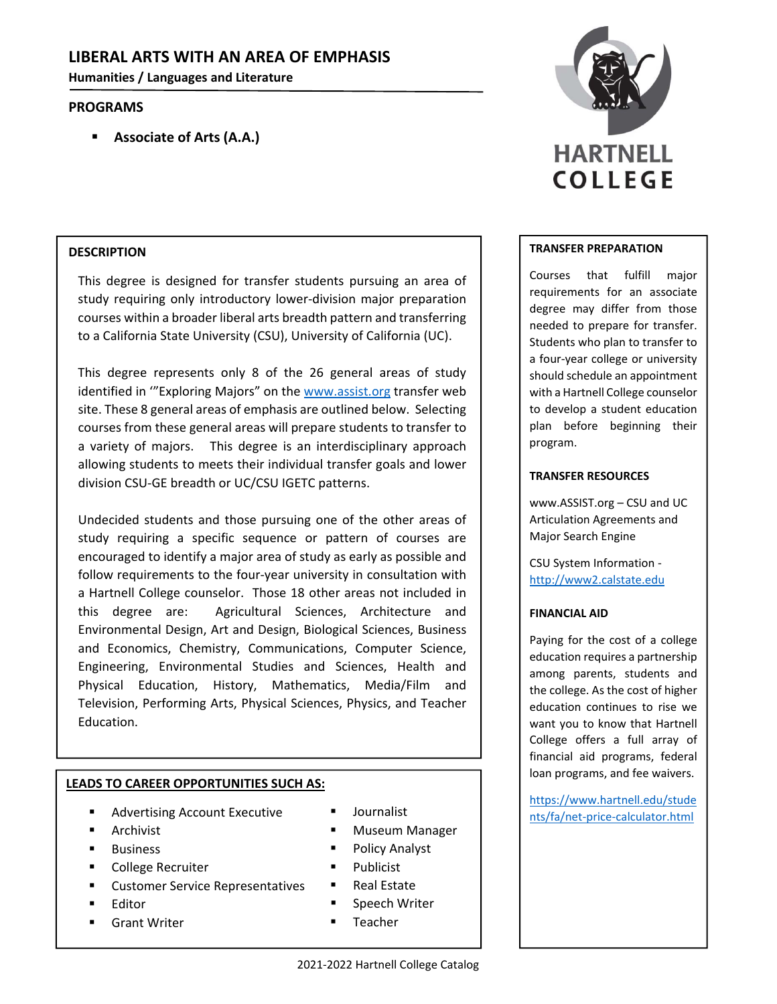# **LIBERAL ARTS WITH AN AREA OF EMPHASIS**

**Humanities / Languages and Literature**

## **PROGRAMS**

**Associate of Arts (A.A.)**

## **DESCRIPTION**

This degree is designed for transfer students pursuing an area of study requiring only introductory lower‐division major preparation courses within a broader liberal arts breadth pattern and transferring to a California State University (CSU), University of California (UC).

This degree represents only 8 of the 26 general areas of study identified in "Exploring Majors" on the www.assist.org transfer web site. These 8 general areas of emphasis are outlined below. Selecting courses from these general areas will prepare students to transfer to a variety of majors. This degree is an interdisciplinary approach allowing students to meets their individual transfer goals and lower division CSU‐GE breadth or UC/CSU IGETC patterns.

Undecided students and those pursuing one of the other areas of study requiring a specific sequence or pattern of courses are encouraged to identify a major area of study as early as possible and follow requirements to the four-year university in consultation with a Hartnell College counselor. Those 18 other areas not included in this degree are: Agricultural Sciences, Architecture and Environmental Design, Art and Design, Biological Sciences, Business and Economics, Chemistry, Communications, Computer Science, Engineering, Environmental Studies and Sciences, Health and Physical Education, History, Mathematics, Media/Film and Television, Performing Arts, Physical Sciences, Physics, and Teacher Education.

## **LEADS TO CAREER OPPORTUNITIES SUCH AS:**

- Advertising Account Executive
- Archivist
- **Business**
- College Recruiter
- Customer Service Representatives
- Editor
- Grant Writer
- 
- Museum Manager
- Policy Analyst
- Publicist
- Real Estate
- **Speech Writer**
- Teacher



#### **TRANSFER PREPARATION**

Courses that fulfill major requirements for an associate degree may differ from those needed to prepare for transfer. Students who plan to transfer to a four‐year college or university should schedule an appointment with a Hartnell College counselor to develop a student education plan before beginning their program.

### **TRANSFER RESOURCES**

www.ASSIST.org – CSU and UC Articulation Agreements and Major Search Engine

CSU System Information ‐ http://www2.calstate.edu

### **FINANCIAL AID**

Paying for the cost of a college education requires a partnership among parents, students and the college. As the cost of higher education continues to rise we want you to know that Hartnell College offers a full array of financial aid programs, federal loan programs, and fee waivers.

https://www.hartnell.edu/stude ■ Journalist nts/fa/net-price-calculator.html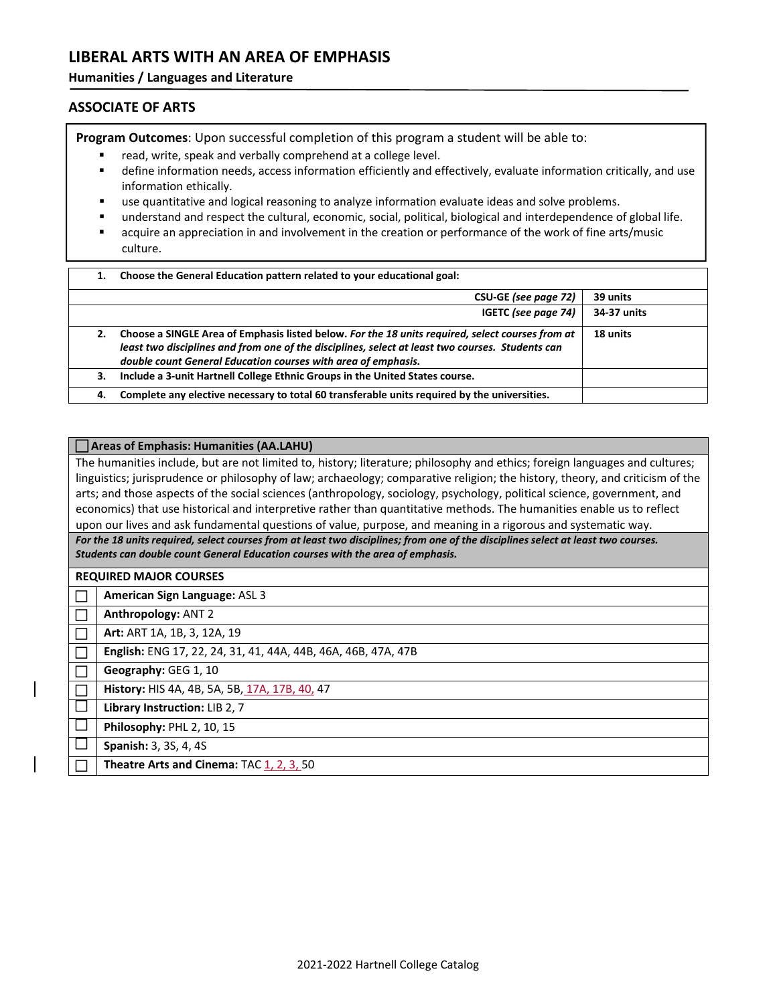# **LIBERAL ARTS WITH AN AREA OF EMPHASIS**

#### **Humanities / Languages and Literature**

### **ASSOCIATE OF ARTS**

**Program Outcomes**: Upon successful completion of this program a student will be able to:

- read, write, speak and verbally comprehend at a college level.
- define information needs, access information efficiently and effectively, evaluate information critically, and use information ethically.
- use quantitative and logical reasoning to analyze information evaluate ideas and solve problems.
- understand and respect the cultural, economic, social, political, biological and interdependence of global life.
- acquire an appreciation in and involvement in the creation or performance of the work of fine arts/music culture.

| 1. | Choose the General Education pattern related to your educational goal:                                                                                                                                                                                                |             |  |
|----|-----------------------------------------------------------------------------------------------------------------------------------------------------------------------------------------------------------------------------------------------------------------------|-------------|--|
|    | CSU-GE (see page 72)                                                                                                                                                                                                                                                  | 39 units    |  |
|    | IGETC (see page 74)                                                                                                                                                                                                                                                   | 34-37 units |  |
| 2. | Choose a SINGLE Area of Emphasis listed below. For the 18 units required, select courses from at<br>least two disciplines and from one of the disciplines, select at least two courses. Students can<br>double count General Education courses with area of emphasis. | 18 units    |  |
| 3. | Include a 3-unit Hartnell College Ethnic Groups in the United States course.                                                                                                                                                                                          |             |  |
| 4. | Complete any elective necessary to total 60 transferable units required by the universities.                                                                                                                                                                          |             |  |

#### **Areas of Emphasis: Humanities (AA.LAHU)**

The humanities include, but are not limited to, history; literature; philosophy and ethics; foreign languages and cultures; linguistics; jurisprudence or philosophy of law; archaeology; comparative religion; the history, theory, and criticism of the arts; and those aspects of the social sciences (anthropology, sociology, psychology, political science, government, and economics) that use historical and interpretive rather than quantitative methods. The humanities enable us to reflect upon our lives and ask fundamental questions of value, purpose, and meaning in a rigorous and systematic way.

For the 18 units required, select courses from at least two disciplines; from one of the disciplines select at least two courses. *Students can double count General Education courses with the area of emphasis.*

**REQUIRED MAJOR COURSES**

**American Sign Language:** ASL 3

**Anthropology:** ANT 2

**Art:** ART 1A, 1B, 3, 12A, 19

**Form | English:** ENG 17, 22, 24, 31, 41, 44A, 44B, 46A, 46B, 47A, 47B

**Geography:** GEG 1, 10

**History:** HIS 4A, 4B, 5A, 5B, 17A, 17B, 40, 47

**Library Instruction:** LIB 2, 7

 $\Box$  Philosophy: PHL 2, 10, 15

**Spanish:** 3, 3S, 4, 4S

**Theatre Arts and Cinema:** TAC 1, 2, 3, 50